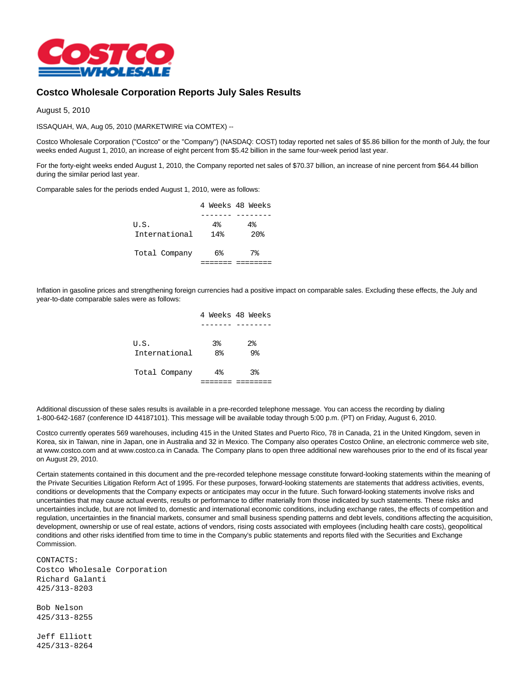

## **Costco Wholesale Corporation Reports July Sales Results**

August 5, 2010

ISSAQUAH, WA, Aug 05, 2010 (MARKETWIRE via COMTEX) --

Costco Wholesale Corporation ("Costco" or the "Company") (NASDAQ: COST) today reported net sales of \$5.86 billion for the month of July, the four weeks ended August 1, 2010, an increase of eight percent from \$5.42 billion in the same four-week period last year.

For the forty-eight weeks ended August 1, 2010, the Company reported net sales of \$70.37 billion, an increase of nine percent from \$64.44 billion during the similar period last year.

Comparable sales for the periods ended August 1, 2010, were as follows:

|               |     | 4 Weeks 48 Weeks |
|---------------|-----|------------------|
|               |     |                  |
| U.S.          | 4%  | $4\%$            |
| International | 14% | 20 <sub>8</sub>  |
| Total Company | 6%  | $7\%$            |
|               |     |                  |

Inflation in gasoline prices and strengthening foreign currencies had a positive impact on comparable sales. Excluding these effects, the July and year-to-date comparable sales were as follows:

|                       |                                  | 4 Weeks 48 Weeks                  |
|-----------------------|----------------------------------|-----------------------------------|
|                       |                                  |                                   |
| U.S.<br>International | 3 <sup>8</sup><br>8 <sup>°</sup> | $2\overline{8}$<br>9 <sub>8</sub> |
| Total Company         | $4\%$                            | 3 <sup>8</sup>                    |
|                       |                                  |                                   |

Additional discussion of these sales results is available in a pre-recorded telephone message. You can access the recording by dialing 1-800-642-1687 (conference ID 44187101). This message will be available today through 5:00 p.m. (PT) on Friday, August 6, 2010.

Costco currently operates 569 warehouses, including 415 in the United States and Puerto Rico, 78 in Canada, 21 in the United Kingdom, seven in Korea, six in Taiwan, nine in Japan, one in Australia and 32 in Mexico. The Company also operates Costco Online, an electronic commerce web site, at www.costco.com and at www.costco.ca in Canada. The Company plans to open three additional new warehouses prior to the end of its fiscal year on August 29, 2010.

Certain statements contained in this document and the pre-recorded telephone message constitute forward-looking statements within the meaning of the Private Securities Litigation Reform Act of 1995. For these purposes, forward-looking statements are statements that address activities, events, conditions or developments that the Company expects or anticipates may occur in the future. Such forward-looking statements involve risks and uncertainties that may cause actual events, results or performance to differ materially from those indicated by such statements. These risks and uncertainties include, but are not limited to, domestic and international economic conditions, including exchange rates, the effects of competition and regulation, uncertainties in the financial markets, consumer and small business spending patterns and debt levels, conditions affecting the acquisition, development, ownership or use of real estate, actions of vendors, rising costs associated with employees (including health care costs), geopolitical conditions and other risks identified from time to time in the Company's public statements and reports filed with the Securities and Exchange Commission.

CONTACTS: Costco Wholesale Corporation Richard Galanti 425/313-8203

Bob Nelson 425/313-8255

Jeff Elliott 425/313-8264